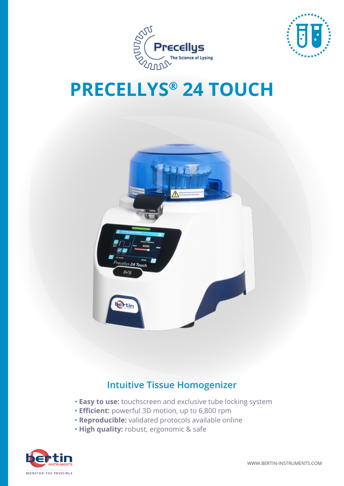



# **PRECELLYS® 24 TOUCH**



### **Intuitive Tissue Homogenizer**

- **Easy to use:** touchscreen and exclusive tube locking system
- **Efficient:** powerful 3D motion, up to 6,800 rpm
- **Reproducible:** validated protocols available online
- **High quality:** robust, ergonomic & safe